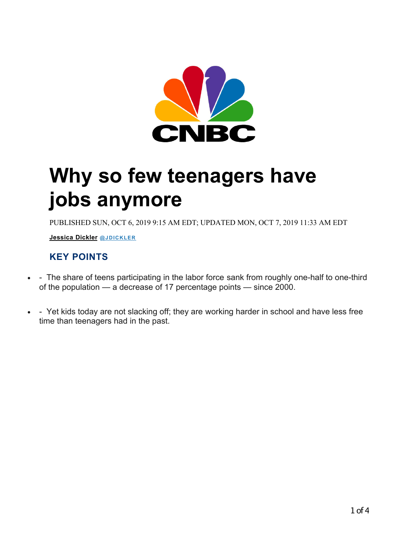

## **Why so few teenagers have jobs anymore**

PUBLISHED SUN, OCT 6, 2019 9:15 AM EDT; UPDATED MON, OCT 7, 2019 11:33 AM EDT

**Jessica Dickler @JDICKLER** 

## **KEY POINTS**

- - The share of teens participating in the labor force sank from roughly one-half to one-third of the population — a decrease of 17 percentage points — since 2000.
- - Yet kids today are not slacking off; they are working harder in school and have less free time than teenagers had in the past.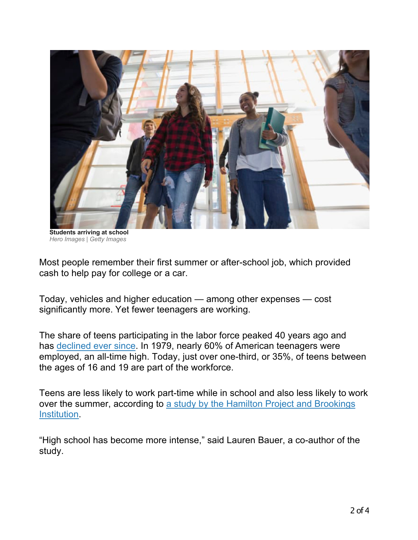

**Students arriving at school** *Hero Images | Getty Images*

Most people remember their first summer or after-school job, which provided cash to help pay for college or a car.

Today, vehicles and higher education — among other expenses — cost significantly more. Yet fewer teenagers are working.

The share of teens participating in the labor force peaked 40 years ago and has declined ever since. In 1979, nearly 60% of American teenagers were employed, an all-time high. Today, just over one-third, or 35%, of teens between the ages of 16 and 19 are part of the workforce.

Teens are less likely to work part-time while in school and also less likely to work over the summer, according to a study by the Hamilton Project and Brookings Institution.

"High school has become more intense," said Lauren Bauer, a co-author of the study.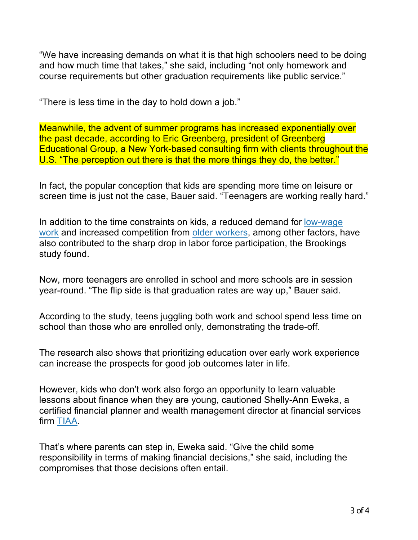"We have increasing demands on what it is that high schoolers need to be doing and how much time that takes," she said, including "not only homework and course requirements but other graduation requirements like public service."

"There is less time in the day to hold down a job."

Meanwhile, the advent of summer programs has increased exponentially over the past decade, according to Eric Greenberg, president of Greenberg Educational Group, a New York-based consulting firm with clients throughout the U.S. "The perception out there is that the more things they do, the better."

In fact, the popular conception that kids are spending more time on leisure or screen time is just not the case, Bauer said. "Teenagers are working really hard."

In addition to the time constraints on kids, a reduced demand for low-wage work and increased competition from older workers, among other factors, have also contributed to the sharp drop in labor force participation, the Brookings study found.

Now, more teenagers are enrolled in school and more schools are in session year-round. "The flip side is that graduation rates are way up," Bauer said.

According to the study, teens juggling both work and school spend less time on school than those who are enrolled only, demonstrating the trade-off.

The research also shows that prioritizing education over early work experience can increase the prospects for good job outcomes later in life.

However, kids who don't work also forgo an opportunity to learn valuable lessons about finance when they are young, cautioned Shelly-Ann Eweka, a certified financial planner and wealth management director at financial services firm TIAA.

That's where parents can step in, Eweka said. "Give the child some responsibility in terms of making financial decisions," she said, including the compromises that those decisions often entail.